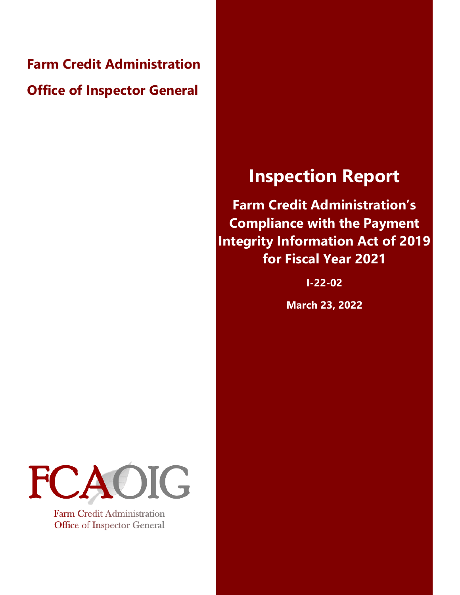**Farm Credit Administration Office of Inspector General** 

## **Inspection Report**

**Farm Credit Administration's Compliance with the Payment Integrity Information Act of 2019 for Fiscal Year 2021** 

**I-22-02** 

**March 23, 2022** 



Farm Credit Administration Office of Inspector General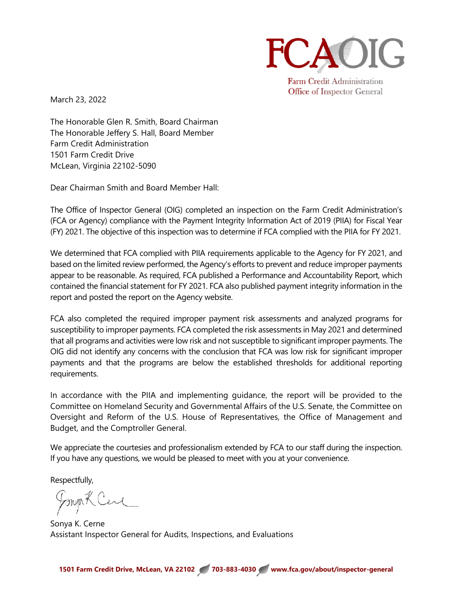

**Farm Credit Administration** Office of Inspector General

March 23, 2022

The Honorable Glen R. Smith, Board Chairman The Honorable Jeffery S. Hall, Board Member Farm Credit Administration 1501 Farm Credit Drive McLean, Virginia 22102-5090

Dear Chairman Smith and Board Member Hall:

 The Office of Inspector General (OIG) completed an inspection on the Farm Credit Administration's (FCA or Agency) compliance with the Payment Integrity Information Act of 2019 (PIIA) for Fiscal Year (FY) 2021. The objective of this inspection was to determine if FCA complied with the PIIA for FY 2021.

We determined that FCA complied with PIIA requirements applicable to the Agency for FY 2021, and based on the limited review performed, the Agency's efforts to prevent and reduce improper payments appear to be reasonable. As required, FCA published a Performance and Accountability Report, which contained the financial statement for FY 2021. FCA also published payment integrity information in the report and posted the report on the Agency website.

FCA also completed the required improper payment risk assessments and analyzed programs for susceptibility to improper payments. FCA completed the risk assessments in May 2021 and determined that all programs and activities were low risk and not susceptible to significant improper payments. The OIG did not identify any concerns with the conclusion that FCA was low risk for significant improper payments and that the programs are below the established thresholds for additional reporting requirements.

 In accordance with the PIIA and implementing guidance, the report will be provided to the Committee on Homeland Security and Governmental Affairs of the U.S. Senate, the Committee on Oversight and Reform of the U.S. House of Representatives, the Office of Management and Budget, and the Comptroller General.

We appreciate the courtesies and professionalism extended by FCA to our staff during the inspection. If you have any questions, we would be pleased to meet with you at your convenience.

Respectfully,

Jonya K Cene

Sonya K. Cerne Assistant Inspector General for Audits, Inspections, and Evaluations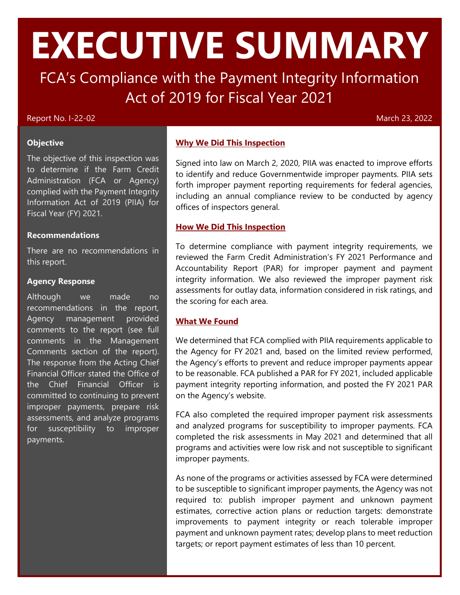# **EXECUTIVE SUMMARY**

FCA's Compliance with the Payment Integrity Information Act of 2019 for Fiscal Year 2021

## Report No. I-22-02 March 23, 2022

#### **Objective**

The objective of this inspection was to determine if the Farm Credit Administration (FCA or Agency) complied with the Payment Integrity Information Act of 2019 (PIIA) for Fiscal Year (FY) 2021.

## **Recommendations**

 this report. There are no recommendations in

### **Agency Response**

 Agency management provided comments to the report (see full Financial Officer stated the Office of Although we made no recommendations in the report, comments in the Management Comments section of the report). The response from the Acting Chief the Chief Financial Officer is committed to continuing to prevent improper payments, prepare risk assessments, and analyze programs for susceptibility to improper payments.

## **Why We Did This Inspection**

 Signed into law on March 2, 2020, PIIA was enacted to improve efforts including an annual compliance review to be conducted by agency offices of inspectors general. to identify and reduce Governmentwide improper payments. PIIA sets forth improper payment reporting requirements for federal agencies,

## **How We Did This Inspection**

 the scoring for each area. To determine compliance with payment integrity requirements, we reviewed the Farm Credit Administration's FY 2021 Performance and Accountability Report (PAR) for improper payment and payment integrity information. We also reviewed the improper payment risk assessments for outlay data, information considered in risk ratings, and

## **What We Found**

 We determined that FCA complied with PIIA requirements applicable to the Agency for FY 2021 and, based on the limited review performed, payment integrity reporting information, and posted the FY 2021 PAR the Agency's efforts to prevent and reduce improper payments appear to be reasonable. FCA published a PAR for FY 2021, included applicable on the Agency's website.

 FCA also completed the required improper payment risk assessments and analyzed programs for susceptibility to improper payments. FCA completed the risk assessments in May 2021 and determined that all programs and activities were low risk and not susceptible to significant improper payments.

 to be susceptible to significant improper payments, the Agency was not required to: publish improper payment and unknown payment estimates, corrective action plans or reduction targets: demonstrate improvements to payment integrity or reach tolerable improper As none of the programs or activities assessed by FCA were determined payment and unknown payment rates; develop plans to meet reduction targets; or report payment estimates of less than 10 percent.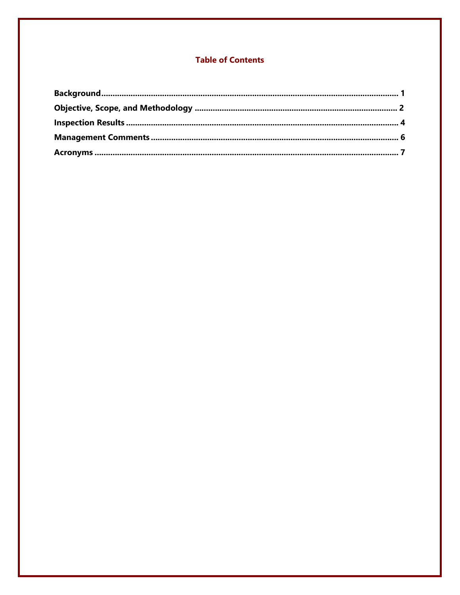## **Table of Contents**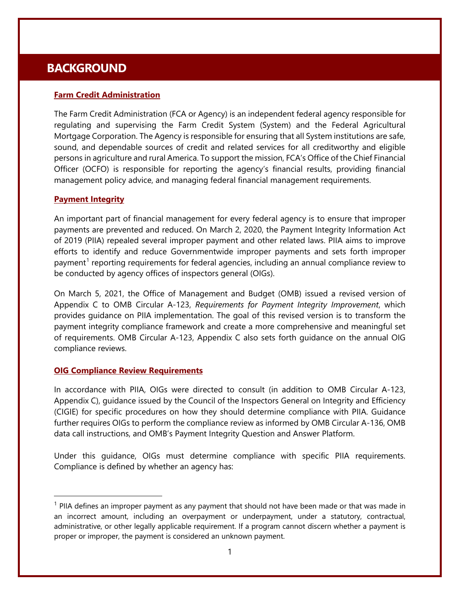## <span id="page-4-0"></span>**BACKGROUND**

## **Farm Credit Administration**

The Farm Credit Administration (FCA or Agency) is an independent federal agency responsible for regulating and supervising the Farm Credit System (System) and the Federal Agricultural Mortgage Corporation. The Agency is responsible for ensuring that all System institutions are safe, sound, and dependable sources of credit and related services for all creditworthy and eligible persons in agriculture and rural America. To support the mission, FCA's Office of the Chief Financial Officer (OCFO) is responsible for reporting the agency's financial results, providing financial management policy advice, and managing federal financial management requirements.

## **Payment Integrity**

 payments are prevented and reduced. On March 2, 2020, the Payment Integrity Information Act of 2019 (PIIA) repealed several improper payment and other related laws. PIIA aims to improve efforts to identify and reduce Governmentwide improper payments and sets forth improper be conducted by agency offices of inspectors general (OIGs). An important part of financial management for every federal agency is to ensure that improper payment<sup>1</sup> reporting requirements for federal agencies, including an annual compliance review to

 payment integrity compliance framework and create a more comprehensive and meaningful set On March 5, 2021, the Office of Management and Budget (OMB) issued a revised version of Appendix C to OMB Circular A-123, *Requirements for Payment Integrity Improvement*, which provides guidance on PIIA implementation. The goal of this revised version is to transform the of requirements. OMB Circular A-123, Appendix C also sets forth guidance on the annual OIG compliance reviews.

## **OIG Compliance Review Requirements**

 Appendix C), guidance issued by the Council of the Inspectors General on Integrity and Efficiency further requires OIGs to perform the compliance review as informed by OMB Circular A-136, OMB In accordance with PIIA, OIGs were directed to consult (in addition to OMB Circular A-123, (CIGIE) for specific procedures on how they should determine compliance with PIIA. Guidance data call instructions, and OMB's Payment Integrity Question and Answer Platform.

Under this guidance, OIGs must determine compliance with specific PIIA requirements. Compliance is defined by whether an agency has:

<span id="page-4-1"></span> $<sup>1</sup>$  PIIA defines an improper payment as any payment that should not have been made or that was made in</sup> proper or improper, the payment is considered an unknown payment. an incorrect amount, including an overpayment or underpayment, under a statutory, contractual, administrative, or other legally applicable requirement. If a program cannot discern whether a payment is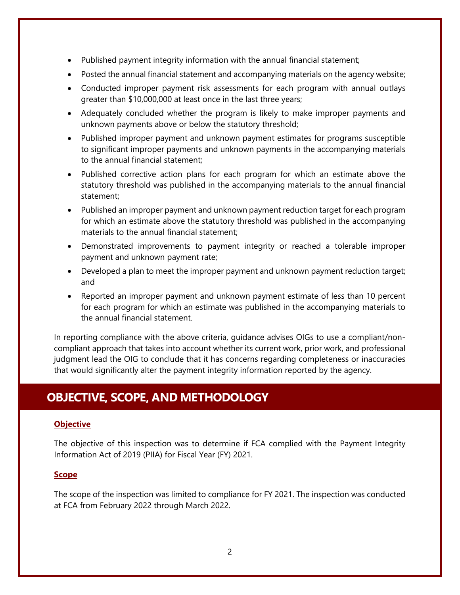- Published payment integrity information with the annual financial statement;
- Posted the annual financial statement and accompanying materials on the agency website;
- Conducted improper payment risk assessments for each program with annual outlays greater than \$10,000,000 at least once in the last three years;
- Adequately concluded whether the program is likely to make improper payments and unknown payments above or below the statutory threshold;
- Published improper payment and unknown payment estimates for programs susceptible to significant improper payments and unknown payments in the accompanying materials to the annual financial statement;
- Published corrective action plans for each program for which an estimate above the statutory threshold was published in the accompanying materials to the annual financial statement;
- Published an improper payment and unknown payment reduction target for each program for which an estimate above the statutory threshold was published in the accompanying materials to the annual financial statement;
- Demonstrated improvements to payment integrity or reached a tolerable improper payment and unknown payment rate;
- Developed a plan to meet the improper payment and unknown payment reduction target; and
- Reported an improper payment and unknown payment estimate of less than 10 percent for each program for which an estimate was published in the accompanying materials to the annual financial statement.

In reporting compliance with the above criteria, guidance advises OIGs to use a compliant/noncompliant approach that takes into account whether its current work, prior work, and professional judgment lead the OIG to conclude that it has concerns regarding completeness or inaccuracies that would significantly alter the payment integrity information reported by the agency.

## <span id="page-5-0"></span>**OBJECTIVE, SCOPE, AND METHODOLOGY**

## **Objective**

The objective of this inspection was to determine if FCA complied with the Payment Integrity Information Act of 2019 (PIIA) for Fiscal Year (FY) 2021.

## **Scope**

The scope of the inspection was limited to compliance for FY 2021. The inspection was conducted at FCA from February 2022 through March 2022.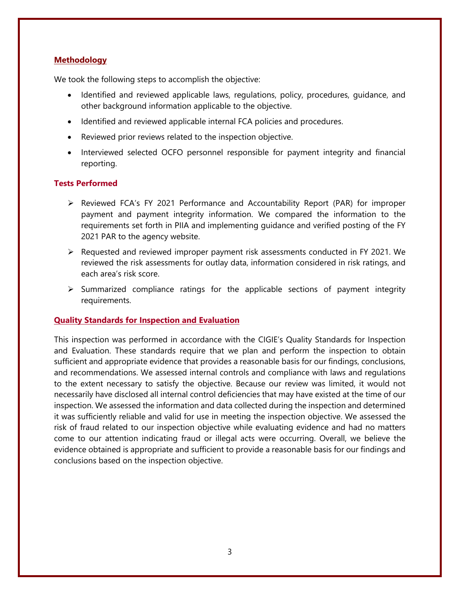## **Methodology**

We took the following steps to accomplish the objective:

- Identified and reviewed applicable laws, regulations, policy, procedures, guidance, and other background information applicable to the objective.
- Identified and reviewed applicable internal FCA policies and procedures.
- Reviewed prior reviews related to the inspection objective.
- Interviewed selected OCFO personnel responsible for payment integrity and financial reporting.

## **Tests Performed**

- $\triangleright$  Reviewed FCA's FY 2021 Performance and Accountability Report (PAR) for improper payment and payment integrity information. We compared the information to the requirements set forth in PIIA and implementing guidance and verified posting of the FY 2021 PAR to the agency website.
- Requested and reviewed improper payment risk assessments conducted in FY 2021. We reviewed the risk assessments for outlay data, information considered in risk ratings, and each area's risk score.
- $\triangleright$  Summarized compliance ratings for the applicable sections of payment integrity requirements.

#### **Quality Standards for Inspection and Evaluation**

 and Evaluation. These standards require that we plan and perform the inspection to obtain and recommendations. We assessed internal controls and compliance with laws and regulations necessarily have disclosed all internal control deficiencies that may have existed at the time of our This inspection was performed in accordance with the CIGIE's Quality Standards for Inspection sufficient and appropriate evidence that provides a reasonable basis for our findings, conclusions, to the extent necessary to satisfy the objective. Because our review was limited, it would not inspection. We assessed the information and data collected during the inspection and determined it was sufficiently reliable and valid for use in meeting the inspection objective. We assessed the risk of fraud related to our inspection objective while evaluating evidence and had no matters come to our attention indicating fraud or illegal acts were occurring. Overall, we believe the evidence obtained is appropriate and sufficient to provide a reasonable basis for our findings and conclusions based on the inspection objective.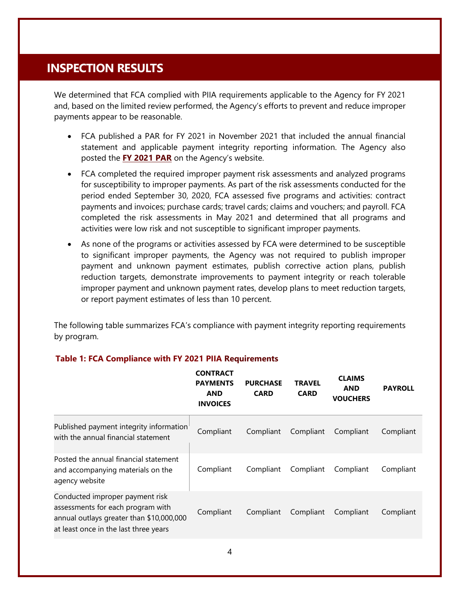## <span id="page-7-0"></span>**INSPECTION RESULTS**

 We determined that FCA complied with PIIA requirements applicable to the Agency for FY 2021 and, based on the limited review performed, the Agency's efforts to prevent and reduce improper payments appear to be reasonable.

- • FCA published a PAR for FY 2021 in November 2021 that included the annual financial statement and applicable payment integrity reporting information. The Agency also posted the **[FY 2021 PAR](https://www.fca.gov/template-fca/about/FCAPerformanceAndAccountabilityReportFY2021.pdf)** on the Agency's website.
- completed the risk assessments in May 2021 and determined that all programs and • FCA completed the required improper payment risk assessments and analyzed programs for susceptibility to improper payments. As part of the risk assessments conducted for the period ended September 30, 2020, FCA assessed five programs and activities: contract payments and invoices; purchase cards; travel cards; claims and vouchers; and payroll. FCA activities were low risk and not susceptible to significant improper payments.
- As none of the programs or activities assessed by FCA were determined to be susceptible to significant improper payments, the Agency was not required to publish improper payment and unknown payment estimates, publish corrective action plans, publish reduction targets, demonstrate improvements to payment integrity or reach tolerable improper payment and unknown payment rates, develop plans to meet reduction targets, or report payment estimates of less than 10 percent.

The following table summarizes FCA's compliance with payment integrity reporting requirements by program.

|                                                                                                                                                           | <b>CONTRACT</b><br><b>PAYMENTS</b><br><b>AND</b><br><b>INVOICES</b> | <b>PURCHASE</b><br><b>CARD</b> | <b>TRAVEL</b><br><b>CARD</b> | <b>CLAIMS</b><br><b>AND</b><br><b>VOUCHERS</b> | <b>PAYROLL</b> |
|-----------------------------------------------------------------------------------------------------------------------------------------------------------|---------------------------------------------------------------------|--------------------------------|------------------------------|------------------------------------------------|----------------|
| Published payment integrity information<br>with the annual financial statement                                                                            | Compliant                                                           | Compliant                      | Compliant                    | Compliant                                      | Compliant      |
| Posted the annual financial statement<br>and accompanying materials on the<br>agency website                                                              | Compliant                                                           | Compliant                      | Compliant                    | Compliant                                      | Compliant      |
| Conducted improper payment risk<br>assessments for each program with<br>annual outlays greater than \$10,000,000<br>at least once in the last three years | Compliant                                                           | Compliant                      | Compliant                    | Compliant                                      | Compliant      |

## **Table 1: FCA Compliance with FY 2021 PIIA Requirements**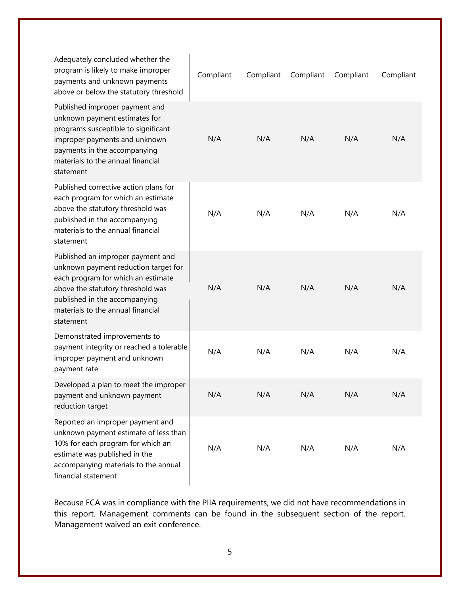| Adequately concluded whether the<br>program is likely to make improper<br>payments and unknown payments<br>above or below the statutory threshold                                                                                       | Compliant | Compliant | Compliant | Compliant | Compliant |
|-----------------------------------------------------------------------------------------------------------------------------------------------------------------------------------------------------------------------------------------|-----------|-----------|-----------|-----------|-----------|
| Published improper payment and<br>unknown payment estimates for<br>programs susceptible to significant<br>improper payments and unknown<br>payments in the accompanying<br>materials to the annual financial<br>statement               | N/A       | N/A       | N/A       | N/A       | N/A       |
| Published corrective action plans for<br>each program for which an estimate<br>above the statutory threshold was<br>published in the accompanying<br>materials to the annual financial<br>statement                                     | N/A       | N/A       | N/A       | N/A       | N/A       |
| Published an improper payment and<br>unknown payment reduction target for<br>each program for which an estimate<br>above the statutory threshold was<br>published in the accompanying<br>materials to the annual financial<br>statement | N/A       | N/A       | N/A       | N/A       | N/A       |
| Demonstrated improvements to<br>payment integrity or reached a tolerable<br>improper payment and unknown<br>payment rate                                                                                                                | N/A       | N/A       | N/A       | N/A       | N/A       |
| Developed a plan to meet the improper<br>payment and unknown payment<br>reduction target                                                                                                                                                | N/A       | N/A       | N/A       | N/A       | N/A       |
| Reported an improper payment and<br>unknown payment estimate of less than<br>10% for each program for which an<br>estimate was published in the<br>accompanying materials to the annual<br>financial statement                          | N/A       | N/A       | N/A       | N/A       | N/A       |

 this report. Management comments can be found in the subsequent section of the report. Because FCA was in compliance with the PIIA requirements, we did not have recommendations in Management waived an exit conference.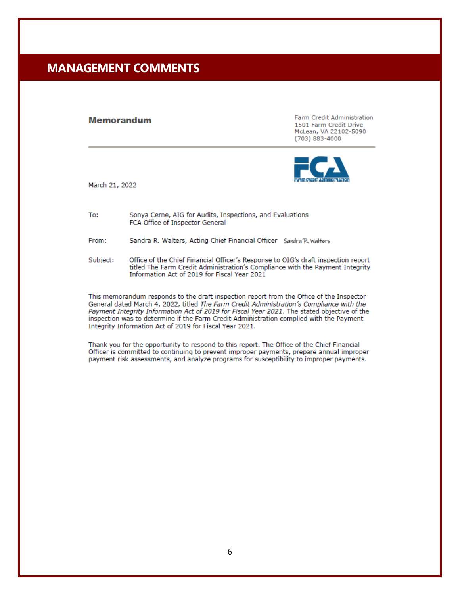## <span id="page-9-0"></span>**MANAGEMENT COMMENTS**

#### **Memorandum**

**Farm Credit Administration** 1501 Farm Credit Drive McLean, VA 22102-5090 (703) 883-4000



March 21, 2022

To: Sonya Cerne, AIG for Audits, Inspections, and Evaluations FCA Office of Inspector General

Sandra R. Walters, Acting Chief Financial Officer Sandra R. Walters From:

Subject: Office of the Chief Financial Officer's Response to OIG's draft inspection report titled The Farm Credit Administration's Compliance with the Payment Integrity Information Act of 2019 for Fiscal Year 2021

This memorandum responds to the draft inspection report from the Office of the Inspector General dated March 4, 2022, titled The Farm Credit Administration's Compliance with the Payment Integrity Information Act of 2019 for Fiscal Year 2021. The stated objective of the inspection was to determine if the Farm Credit Administration complied with the Payment Integrity Information Act of 2019 for Fiscal Year 2021.

Thank you for the opportunity to respond to this report. The Office of the Chief Financial Officer is committed to continuing to prevent improper payments, prepare annual improper payment risk assessments, and analyze programs for susceptibility to improper payments.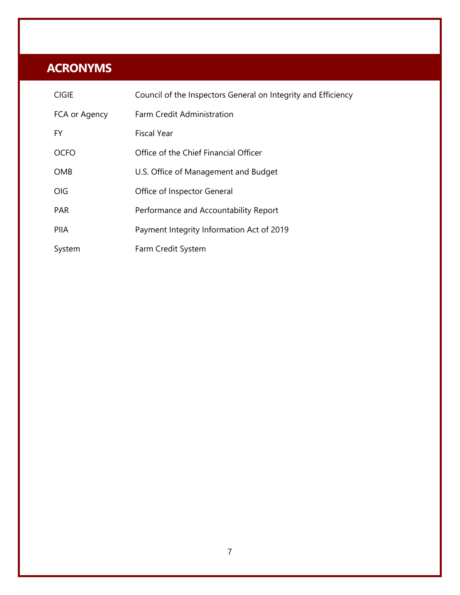## <span id="page-10-0"></span>**ACRONYMS**

| <b>CIGIE</b>  | Council of the Inspectors General on Integrity and Efficiency |
|---------------|---------------------------------------------------------------|
| FCA or Agency | <b>Farm Credit Administration</b>                             |
| FY.           | <b>Fiscal Year</b>                                            |
| <b>OCFO</b>   | Office of the Chief Financial Officer                         |
| <b>OMB</b>    | U.S. Office of Management and Budget                          |
| OIG           | Office of Inspector General                                   |
| <b>PAR</b>    | Performance and Accountability Report                         |
| <b>PIIA</b>   | Payment Integrity Information Act of 2019                     |
| System        | Farm Credit System                                            |